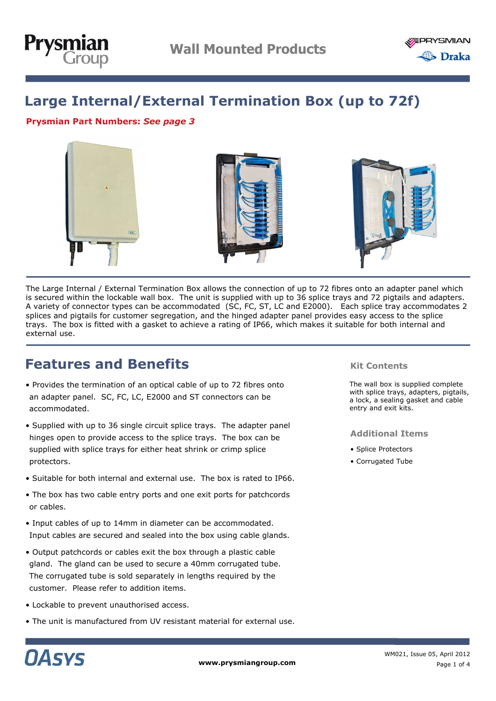



## **Large Internal/External Termination Box (up to 72f)**

#### **Prysmian Part Numbers:** *See page 3*



The Large Internal / External Termination Box allows the connection of up to 72 fibres onto an adapter panel which is secured within the lockable wall box. The unit is supplied with up to 36 splice trays and 72 pigtails and adapters. A variety of connector types can be accommodated (SC, FC, ST, LC and E2000). Each splice tray accommodates 2 splices and pigtails for customer segregation, and the hinged adapter panel provides easy access to the splice trays. The box is fitted with a gasket to achieve a rating of IP66, which makes it suitable for both internal and external use.

## **Features and Benefits**

- Provides the termination of an optical cable of up to 72 fibres onto an adapter panel. SC, FC, LC, E2000 and ST connectors can be accommodated.
- Supplied with up to 36 single circuit splice trays. The adapter panel hinges open to provide access to the splice trays. The box can be supplied with splice trays for either heat shrink or crimp splice protectors.
- Suitable for both internal and external use. The box is rated to IP66.
- The box has two cable entry ports and one exit ports for patchcords or cables.
- Input cables of up to 14mm in diameter can be accommodated. Input cables are secured and sealed into the box using cable glands.
- Output patchcords or cables exit the box through a plastic cable gland. The gland can be used to secure a 40mm corrugated tube. The corrugated tube is sold separately in lengths required by the customer. Please refer to addition items.
- Lockable to prevent unauthorised access.
- The unit is manufactured from UV resistant material for external use.

#### **Kit Contents**

The wall box is supplied complete with splice trays, adapters, pigtails, a lock, a sealing gasket and cable entry and exit kits.

#### **Additional Items**

- Splice Protectors
- Corrugated Tube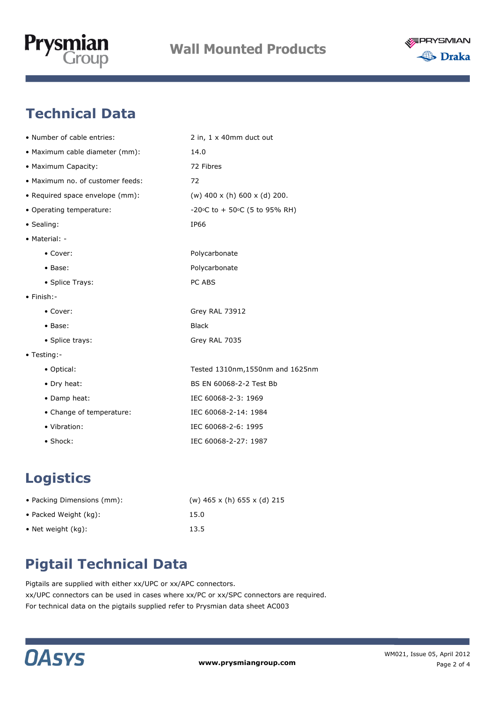



# **Technical Data**

| • Number of cable entries:       | 2 in, 1 x 40mm duct out                   |
|----------------------------------|-------------------------------------------|
| • Maximum cable diameter (mm):   | 14.0                                      |
| • Maximum Capacity:              | 72 Fibres                                 |
| • Maximum no. of customer feeds: | 72                                        |
| • Required space envelope (mm):  | (w) $400 \times (h) 600 \times (d) 200$ . |
| • Operating temperature:         | -20°C to + 50°C (5 to 95% RH)             |
| • Sealing:                       | IP66                                      |
| • Material: -                    |                                           |
| • Cover:                         | Polycarbonate                             |
| • Base:                          | Polycarbonate                             |
| • Splice Trays:                  | PC ABS                                    |
| $\bullet$ Finish:-               |                                           |
| $\bullet$ Cover:                 | Grey RAL 73912                            |
| • Base:                          | <b>Black</b>                              |
| • Splice trays:                  | Grey RAL 7035                             |
| • Testing:-                      |                                           |
| • Optical:                       | Tested 1310nm, 1550nm and 1625nm          |
| • Dry heat:                      | BS EN 60068-2-2 Test Bb                   |
| • Damp heat:                     | IEC 60068-2-3: 1969                       |
| • Change of temperature:         | IEC 60068-2-14: 1984                      |
| • Vibration:                     | IEC 60068-2-6: 1995                       |
| • Shock:                         | IEC 60068-2-27: 1987                      |

# **Logistics**

| • Packing Dimensions (mm): | (w) $465 \times$ (h) $655 \times$ (d) 215 |
|----------------------------|-------------------------------------------|
| • Packed Weight (kg):      | 15.0                                      |
| • Net weight $(kq)$ :      | 13.5                                      |

# **Pigtail Technical Data**

Pigtails are supplied with either xx/UPC or xx/APC connectors. xx/UPC connectors can be used in cases where xx/PC or xx/SPC connectors are required. For technical data on the pigtails supplied refer to Prysmian data sheet AC003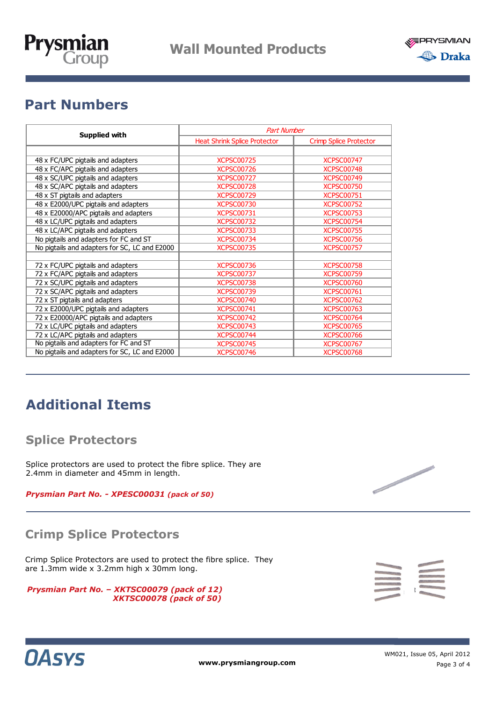



# **Part Numbers**

| <b>Supplied with</b>                          | <b>Part Number</b>                  |                               |
|-----------------------------------------------|-------------------------------------|-------------------------------|
|                                               | <b>Heat Shrink Splice Protector</b> | <b>Crimp Splice Protector</b> |
|                                               |                                     |                               |
| 48 x FC/UPC pigtails and adapters             | <b>XCPSC00725</b>                   | <b>XCPSC00747</b>             |
| 48 x FC/APC pigtails and adapters             | <b>XCPSC00726</b>                   | <b>XCPSC00748</b>             |
| 48 x SC/UPC pigtails and adapters             | <b>XCPSC00727</b>                   | <b>XCPSC00749</b>             |
| 48 x SC/APC pigtails and adapters             | <b>XCPSC00728</b>                   | <b>XCPSC00750</b>             |
| 48 x ST pigtails and adapters                 | <b>XCPSC00729</b>                   | <b>XCPSC00751</b>             |
| 48 x E2000/UPC pigtails and adapters          | <b>XCPSC00730</b>                   | <b>XCPSC00752</b>             |
| 48 x E20000/APC pigtails and adapters         | <b>XCPSC00731</b>                   | <b>XCPSC00753</b>             |
| 48 x LC/UPC pigtails and adapters             | <b>XCPSC00732</b>                   | <b>XCPSC00754</b>             |
| 48 x LC/APC pigtails and adapters             | <b>XCPSC00733</b>                   | <b>XCPSC00755</b>             |
| No pigtails and adapters for FC and ST        | <b>XCPSC00734</b>                   | <b>XCPSC00756</b>             |
| No pigtails and adapters for SC, LC and E2000 | <b>XCPSC00735</b>                   | <b>XCPSC00757</b>             |
|                                               |                                     |                               |
| 72 x FC/UPC pigtails and adapters             | <b>XCPSC00736</b>                   | <b>XCPSC00758</b>             |
| 72 x FC/APC pigtails and adapters             | <b>XCPSC00737</b>                   | <b>XCPSC00759</b>             |
| 72 x SC/UPC pigtails and adapters             | <b>XCPSC00738</b>                   | <b>XCPSC00760</b>             |
| 72 x SC/APC pigtails and adapters             | <b>XCPSC00739</b>                   | <b>XCPSC00761</b>             |
| 72 x ST pigtails and adapters                 | <b>XCPSC00740</b>                   | <b>XCPSC00762</b>             |
| 72 x E2000/UPC pigtails and adapters          | <b>XCPSC00741</b>                   | <b>XCPSC00763</b>             |
| 72 x E20000/APC pigtails and adapters         | <b>XCPSC00742</b>                   | <b>XCPSC00764</b>             |
| 72 x LC/UPC pigtails and adapters             | <b>XCPSC00743</b>                   | <b>XCPSC00765</b>             |
| 72 x LC/APC pigtails and adapters             | <b>XCPSC00744</b>                   | <b>XCPSC00766</b>             |
| No pigtails and adapters for FC and ST        | <b>XCPSC00745</b>                   | <b>XCPSC00767</b>             |
| No pigtails and adapters for SC, LC and E2000 | <b>XCPSC00746</b>                   | <b>XCPSC00768</b>             |

# **Additional Items**

### **Splice Protectors**

Splice protectors are used to protect the fibre splice. They are 2.4mm in diameter and 45mm in length.

*Prysmian Part No. - XPESC00031 (pack of 50)*

### **Crimp Splice Protectors**

Crimp Splice Protectors are used to protect the fibre splice. They are 1.3mm wide x 3.2mm high x 30mm long.

| Prysmian Part No. - XKTSC00079 (pack of 12) |                                |  |
|---------------------------------------------|--------------------------------|--|
|                                             | <b>XKTSC00078 (pack of 50)</b> |  |





**www.prysmiangroup.com**